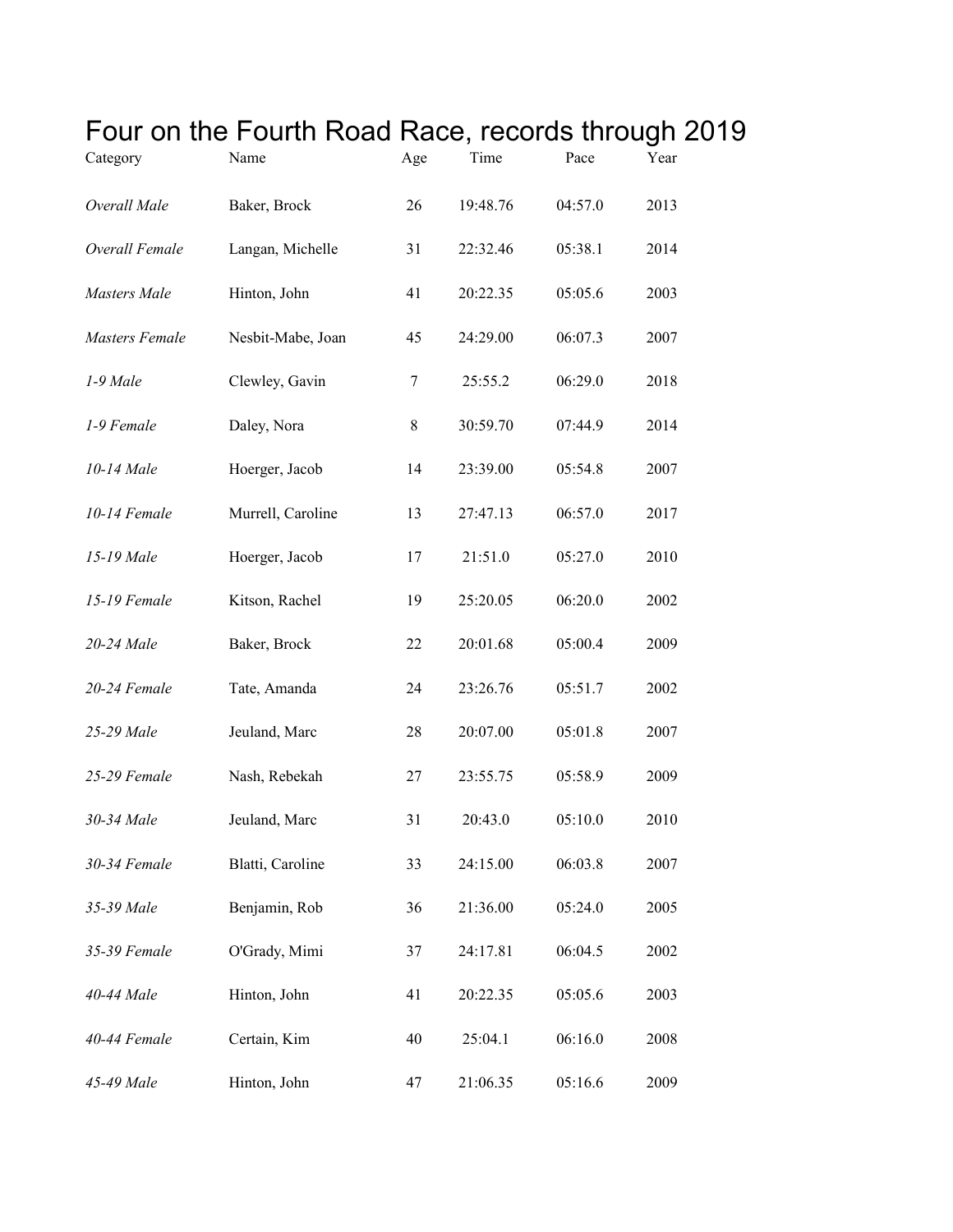| Category            | Four on the Fourth Road Race, records through 20<br>Name | Age | Time     | Pace    | Year |
|---------------------|----------------------------------------------------------|-----|----------|---------|------|
| Overall Male        | Baker, Brock                                             | 26  | 19:48.76 | 04:57.0 | 2013 |
| Overall Female      | Langan, Michelle                                         | 31  | 22:32.46 | 05:38.1 | 2014 |
| <b>Masters</b> Male | Hinton, John                                             | 41  | 20:22.35 | 05:05.6 | 2003 |
| Masters Female      | Nesbit-Mabe, Joan                                        | 45  | 24:29.00 | 06:07.3 | 2007 |
| 1-9 Male            | Clewley, Gavin                                           | 7   | 25:55.2  | 06:29.0 | 2018 |
| 1-9 Female          | Daley, Nora                                              | 8   | 30:59.70 | 07:44.9 | 2014 |
| 10-14 Male          | Hoerger, Jacob                                           | 14  | 23:39.00 | 05:54.8 | 2007 |
| 10-14 Female        | Murrell, Caroline                                        | 13  | 27:47.13 | 06:57.0 | 2017 |
| 15-19 Male          | Hoerger, Jacob                                           | 17  | 21:51.0  | 05:27.0 | 2010 |
| 15-19 Female        | Kitson, Rachel                                           | 19  | 25:20.05 | 06:20.0 | 2002 |
| 20-24 Male          | Baker, Brock                                             | 22  | 20:01.68 | 05:00.4 | 2009 |
| 20-24 Female        | Tate, Amanda                                             | 24  | 23:26.76 | 05:51.7 | 2002 |
| 25-29 Male          | Jeuland, Marc                                            | 28  | 20:07.00 | 05:01.8 | 2007 |
| 25-29 Female        | Nash, Rebekah                                            | 27  | 23:55.75 | 05:58.9 | 2009 |
| 30-34 Male          | Jeuland, Marc                                            | 31  | 20:43.0  | 05:10.0 | 2010 |
| 30-34 Female        | Blatti, Caroline                                         | 33  | 24:15.00 | 06:03.8 | 2007 |
| 35-39 Male          | Benjamin, Rob                                            | 36  | 21:36.00 | 05:24.0 | 2005 |
| 35-39 Female        | O'Grady, Mimi                                            | 37  | 24:17.81 | 06:04.5 | 2002 |
| 40-44 Male          | Hinton, John                                             | 41  | 20:22.35 | 05:05.6 | 2003 |
| 40-44 Female        | Certain, Kim                                             | 40  | 25:04.1  | 06:16.0 | 2008 |
| 45-49 Male          | Hinton, John                                             | 47  | 21:06.35 | 05:16.6 | 2009 |

## Four on the Fourth Road Race, records through 2019